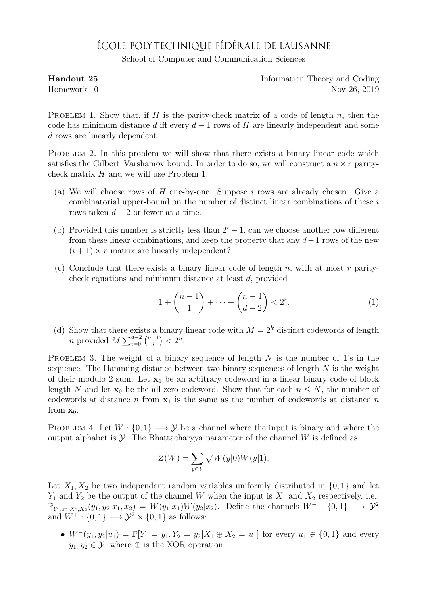## ÉCOLE POLYTECHNIQUE FÉDÉRALE DE LAUSANNE

School of Computer and Communication Sciences

| Handout 25  | Information Theory and Coding |
|-------------|-------------------------------|
| Homework 10 | Nov 26, 2019                  |

PROBLEM 1. Show that, if  $H$  is the parity-check matrix of a code of length  $n$ , then the code has minimum distance d iff every  $d-1$  rows of H are linearly independent and some d rows are linearly dependent.

PROBLEM 2. In this problem we will show that there exists a binary linear code which satisfies the Gilbert–Varshamov bound. In order to do so, we will construct a  $n \times r$  paritycheck matrix H and we will use Problem 1.

- (a) We will choose rows of  $H$  one-by-one. Suppose  $i$  rows are already chosen. Give a combinatorial upper-bound on the number of distinct linear combinations of these i rows taken  $d-2$  or fewer at a time.
- (b) Provided this number is strictly less than  $2^r 1$ , can we choose another row different from these linear combinations, and keep the property that any  $d-1$  rows of the new  $(i + 1) \times r$  matrix are linearly independent?
- (c) Conclude that there exists a binary linear code of length n, with at most r paritycheck equations and minimum distance at least d, provided

$$
1 + \binom{n-1}{1} + \dots + \binom{n-1}{d-2} < 2^r. \tag{1}
$$

(d) Show that there exists a binary linear code with  $M = 2<sup>k</sup>$  distinct codewords of length *n* provided  $M \sum_{i=0}^{d-2} {n-1 \choose i}$  $\binom{-1}{i} < 2^n$ .

PROBLEM 3. The weight of a binary sequence of length N is the number of 1's in the sequence. The Hamming distance between two binary sequences of length  $N$  is the weight of their modulo 2 sum. Let  $x_1$  be an arbitrary codeword in a linear binary code of block length N and let  $\mathbf{x}_0$  be the all-zero codeword. Show that for each  $n \leq N$ , the number of codewords at distance n from  $x_1$  is the same as the number of codewords at distance n from  $x_0$ .

PROBLEM 4. Let  $W: \{0,1\} \longrightarrow \mathcal{Y}$  be a channel where the input is binary and where the output alphabet is  $\mathcal Y$ . The Bhattacharyya parameter of the channel W is defined as

$$
Z(W) = \sum_{y \in \mathcal{Y}} \sqrt{W(y|0)W(y|1)}.
$$

Let  $X_1, X_2$  be two independent random variables uniformly distributed in  $\{0, 1\}$  and let  $Y_1$  and  $Y_2$  be the output of the channel W when the input is  $X_1$  and  $X_2$  respectively, i.e.,  $\mathbb{P}_{Y_1,Y_2|X_1,X_2}(y_1,y_2|x_1,x_2) = W(y_1|x_1)W(y_2|x_2)$ . Define the channels  $W^-: \{0,1\} \longrightarrow \mathcal{Y}^2$ and  $W^+$ :  $\{0,1\} \longrightarrow \mathcal{Y}^2 \times \{0,1\}$  as follows:

•  $W^-(y_1, y_2|u_1) = \mathbb{P}[Y_1 = y_1, Y_2 = y_2|X_1 \oplus X_2 = u_1]$  for every  $u_1 \in \{0, 1\}$  and every  $y_1, y_2 \in \mathcal{Y}$ , where  $\oplus$  is the XOR operation.